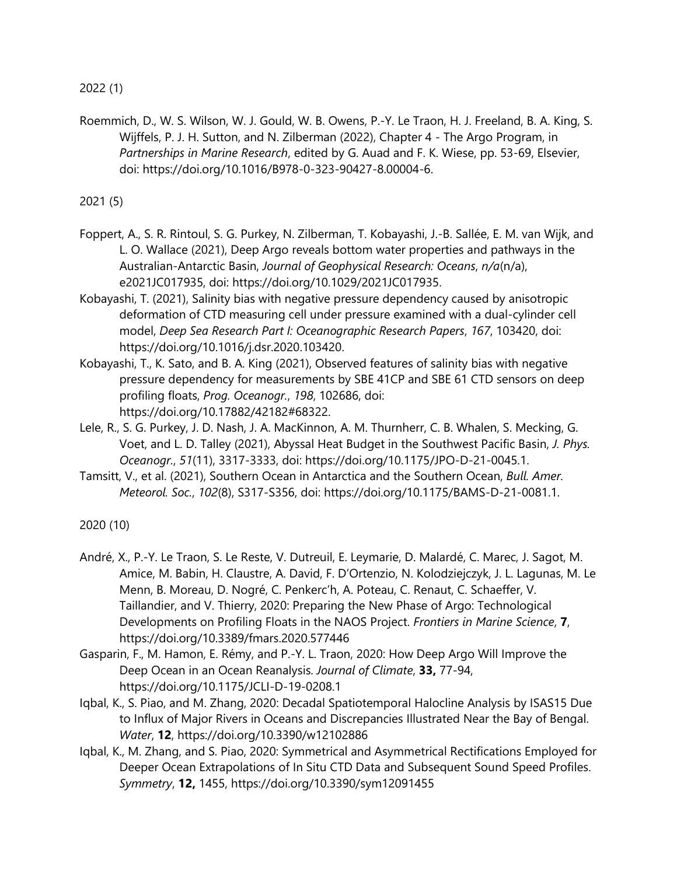2022 (1)

Roemmich, D., W. S. Wilson, W. J. Gould, W. B. Owens, P.-Y. Le Traon, H. J. Freeland, B. A. King, S. Wijffels, P. J. H. Sutton, and N. Zilberman (2022), Chapter 4 - The Argo Program, in *Partnerships in Marine Research*, edited by G. Auad and F. K. Wiese, pp. 53-69, Elsevier, doi: https://doi.org/10.1016/B978-0-323-90427-8.00004-6.

2021 (5)

- Foppert, A., S. R. Rintoul, S. G. Purkey, N. Zilberman, T. Kobayashi, J.-B. Sallée, E. M. van Wijk, and L. O. Wallace (2021), Deep Argo reveals bottom water properties and pathways in the Australian-Antarctic Basin, *Journal of Geophysical Research: Oceans*, *n/a*(n/a), e2021JC017935, doi: https://doi.org/10.1029/2021JC017935.
- Kobayashi, T. (2021), Salinity bias with negative pressure dependency caused by anisotropic deformation of CTD measuring cell under pressure examined with a dual-cylinder cell model, *Deep Sea Research Part I: Oceanographic Research Papers*, *167*, 103420, doi: https://doi.org/10.1016/j.dsr.2020.103420.
- Kobayashi, T., K. Sato, and B. A. King (2021), Observed features of salinity bias with negative pressure dependency for measurements by SBE 41CP and SBE 61 CTD sensors on deep profiling floats, *Prog. Oceanogr.*, *198*, 102686, doi: https://doi.org/10.17882/42182#68322.
- Lele, R., S. G. Purkey, J. D. Nash, J. A. MacKinnon, A. M. Thurnherr, C. B. Whalen, S. Mecking, G. Voet, and L. D. Talley (2021), Abyssal Heat Budget in the Southwest Pacific Basin, *J. Phys. Oceanogr.*, *51*(11), 3317-3333, doi: https://doi.org/10.1175/JPO-D-21-0045.1.
- Tamsitt, V., et al. (2021), Southern Ocean in Antarctica and the Southern Ocean, *Bull. Amer. Meteorol. Soc.*, *102*(8), S317-S356, doi: https://doi.org/10.1175/BAMS-D-21-0081.1.

2020 (10)

- André, X., P.-Y. Le Traon, S. Le Reste, V. Dutreuil, E. Leymarie, D. Malardé, C. Marec, J. Sagot, M. Amice, M. Babin, H. Claustre, A. David, F. D'Ortenzio, N. Kolodziejczyk, J. L. Lagunas, M. Le Menn, B. Moreau, D. Nogré, C. Penkerc'h, A. Poteau, C. Renaut, C. Schaeffer, V. Taillandier, and V. Thierry, 2020: Preparing the New Phase of Argo: Technological Developments on Profiling Floats in the NAOS Project. *Frontiers in Marine Science*, **7**, https://doi.org/10.3389/fmars.2020.577446
- Gasparin, F., M. Hamon, E. Rémy, and P.-Y. L. Traon, 2020: How Deep Argo Will Improve the Deep Ocean in an Ocean Reanalysis. *Journal of Climate*, **33,** 77-94, https://doi.org/10.1175/JCLI-D-19-0208.1
- Iqbal, K., S. Piao, and M. Zhang, 2020: Decadal Spatiotemporal Halocline Analysis by ISAS15 Due to Influx of Major Rivers in Oceans and Discrepancies Illustrated Near the Bay of Bengal. *Water*, **12**, https://doi.org/10.3390/w12102886
- Iqbal, K., M. Zhang, and S. Piao, 2020: Symmetrical and Asymmetrical Rectifications Employed for Deeper Ocean Extrapolations of In Situ CTD Data and Subsequent Sound Speed Profiles. *Symmetry*, **12,** 1455, https://doi.org/10.3390/sym12091455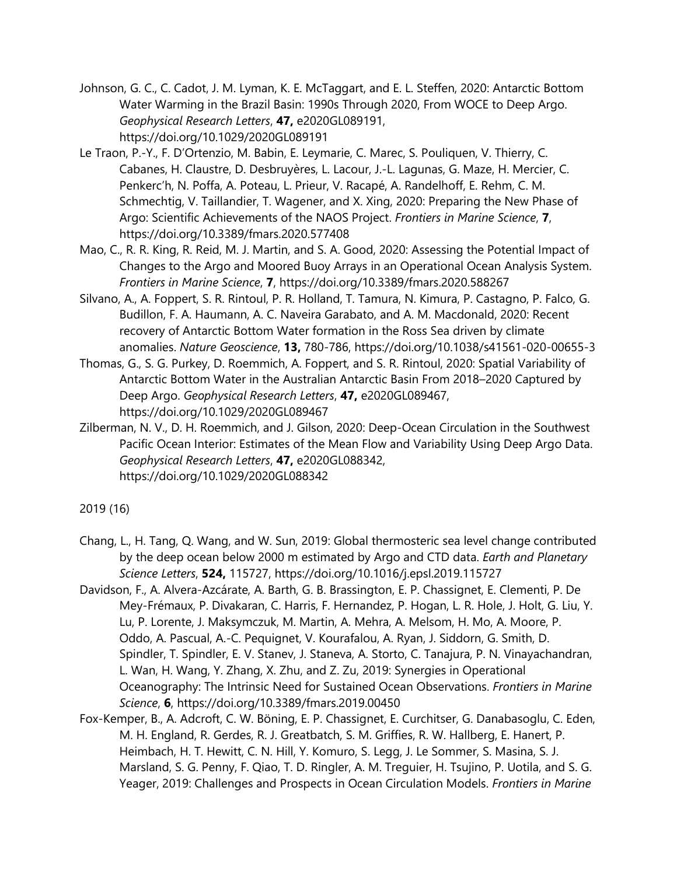- Johnson, G. C., C. Cadot, J. M. Lyman, K. E. McTaggart, and E. L. Steffen, 2020: Antarctic Bottom Water Warming in the Brazil Basin: 1990s Through 2020, From WOCE to Deep Argo. *Geophysical Research Letters*, **47,** e2020GL089191, https://doi.org/10.1029/2020GL089191
- Le Traon, P.-Y., F. D'Ortenzio, M. Babin, E. Leymarie, C. Marec, S. Pouliquen, V. Thierry, C. Cabanes, H. Claustre, D. Desbruyères, L. Lacour, J.-L. Lagunas, G. Maze, H. Mercier, C. Penkerc'h, N. Poffa, A. Poteau, L. Prieur, V. Racapé, A. Randelhoff, E. Rehm, C. M. Schmechtig, V. Taillandier, T. Wagener, and X. Xing, 2020: Preparing the New Phase of Argo: Scientific Achievements of the NAOS Project. *Frontiers in Marine Science*, **7**, https://doi.org/10.3389/fmars.2020.577408
- Mao, C., R. R. King, R. Reid, M. J. Martin, and S. A. Good, 2020: Assessing the Potential Impact of Changes to the Argo and Moored Buoy Arrays in an Operational Ocean Analysis System. *Frontiers in Marine Science*, **7**, https://doi.org/10.3389/fmars.2020.588267
- Silvano, A., A. Foppert, S. R. Rintoul, P. R. Holland, T. Tamura, N. Kimura, P. Castagno, P. Falco, G. Budillon, F. A. Haumann, A. C. Naveira Garabato, and A. M. Macdonald, 2020: Recent recovery of Antarctic Bottom Water formation in the Ross Sea driven by climate anomalies. *Nature Geoscience*, **13,** 780-786, https://doi.org/10.1038/s41561-020-00655-3
- Thomas, G., S. G. Purkey, D. Roemmich, A. Foppert, and S. R. Rintoul, 2020: Spatial Variability of Antarctic Bottom Water in the Australian Antarctic Basin From 2018–2020 Captured by Deep Argo. *Geophysical Research Letters*, **47,** e2020GL089467, https://doi.org/10.1029/2020GL089467
- Zilberman, N. V., D. H. Roemmich, and J. Gilson, 2020: Deep-Ocean Circulation in the Southwest Pacific Ocean Interior: Estimates of the Mean Flow and Variability Using Deep Argo Data. *Geophysical Research Letters*, **47,** e2020GL088342, https://doi.org/10.1029/2020GL088342

2019 (16)

- Chang, L., H. Tang, Q. Wang, and W. Sun, 2019: Global thermosteric sea level change contributed by the deep ocean below 2000 m estimated by Argo and CTD data. *Earth and Planetary Science Letters*, **524,** 115727, https://doi.org/10.1016/j.epsl.2019.115727
- Davidson, F., A. Alvera-Azcárate, A. Barth, G. B. Brassington, E. P. Chassignet, E. Clementi, P. De Mey-Frémaux, P. Divakaran, C. Harris, F. Hernandez, P. Hogan, L. R. Hole, J. Holt, G. Liu, Y. Lu, P. Lorente, J. Maksymczuk, M. Martin, A. Mehra, A. Melsom, H. Mo, A. Moore, P. Oddo, A. Pascual, A.-C. Pequignet, V. Kourafalou, A. Ryan, J. Siddorn, G. Smith, D. Spindler, T. Spindler, E. V. Stanev, J. Staneva, A. Storto, C. Tanajura, P. N. Vinayachandran, L. Wan, H. Wang, Y. Zhang, X. Zhu, and Z. Zu, 2019: Synergies in Operational Oceanography: The Intrinsic Need for Sustained Ocean Observations. *Frontiers in Marine Science*, **6**, https://doi.org/10.3389/fmars.2019.00450
- Fox-Kemper, B., A. Adcroft, C. W. Böning, E. P. Chassignet, E. Curchitser, G. Danabasoglu, C. Eden, M. H. England, R. Gerdes, R. J. Greatbatch, S. M. Griffies, R. W. Hallberg, E. Hanert, P. Heimbach, H. T. Hewitt, C. N. Hill, Y. Komuro, S. Legg, J. Le Sommer, S. Masina, S. J. Marsland, S. G. Penny, F. Qiao, T. D. Ringler, A. M. Treguier, H. Tsujino, P. Uotila, and S. G. Yeager, 2019: Challenges and Prospects in Ocean Circulation Models. *Frontiers in Marine*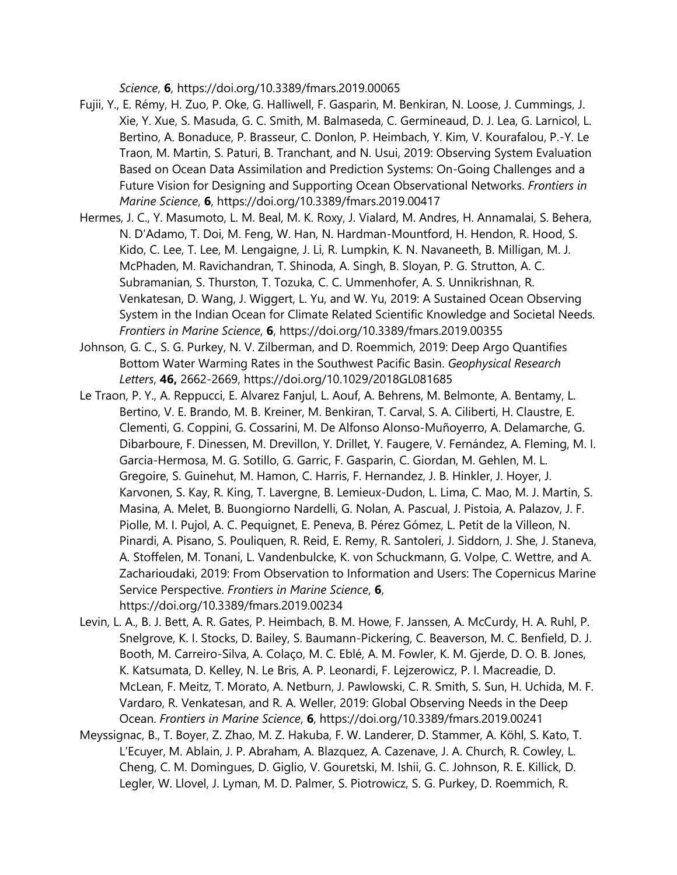*Science*, **6**, https://doi.org/10.3389/fmars.2019.00065

- Fujii, Y., E. Rémy, H. Zuo, P. Oke, G. Halliwell, F. Gasparin, M. Benkiran, N. Loose, J. Cummings, J. Xie, Y. Xue, S. Masuda, G. C. Smith, M. Balmaseda, C. Germineaud, D. J. Lea, G. Larnicol, L. Bertino, A. Bonaduce, P. Brasseur, C. Donlon, P. Heimbach, Y. Kim, V. Kourafalou, P.-Y. Le Traon, M. Martin, S. Paturi, B. Tranchant, and N. Usui, 2019: Observing System Evaluation Based on Ocean Data Assimilation and Prediction Systems: On-Going Challenges and a Future Vision for Designing and Supporting Ocean Observational Networks. *Frontiers in Marine Science*, **6**, https://doi.org/10.3389/fmars.2019.00417
- Hermes, J. C., Y. Masumoto, L. M. Beal, M. K. Roxy, J. Vialard, M. Andres, H. Annamalai, S. Behera, N. D'Adamo, T. Doi, M. Feng, W. Han, N. Hardman-Mountford, H. Hendon, R. Hood, S. Kido, C. Lee, T. Lee, M. Lengaigne, J. Li, R. Lumpkin, K. N. Navaneeth, B. Milligan, M. J. McPhaden, M. Ravichandran, T. Shinoda, A. Singh, B. Sloyan, P. G. Strutton, A. C. Subramanian, S. Thurston, T. Tozuka, C. C. Ummenhofer, A. S. Unnikrishnan, R. Venkatesan, D. Wang, J. Wiggert, L. Yu, and W. Yu, 2019: A Sustained Ocean Observing System in the Indian Ocean for Climate Related Scientific Knowledge and Societal Needs. *Frontiers in Marine Science*, **6**, https://doi.org/10.3389/fmars.2019.00355
- Johnson, G. C., S. G. Purkey, N. V. Zilberman, and D. Roemmich, 2019: Deep Argo Quantifies Bottom Water Warming Rates in the Southwest Pacific Basin. *Geophysical Research Letters*, **46,** 2662-2669, https://doi.org/10.1029/2018GL081685
- Le Traon, P. Y., A. Reppucci, E. Alvarez Fanjul, L. Aouf, A. Behrens, M. Belmonte, A. Bentamy, L. Bertino, V. E. Brando, M. B. Kreiner, M. Benkiran, T. Carval, S. A. Ciliberti, H. Claustre, E. Clementi, G. Coppini, G. Cossarini, M. De Alfonso Alonso-Muñoyerro, A. Delamarche, G. Dibarboure, F. Dinessen, M. Drevillon, Y. Drillet, Y. Faugere, V. Fernández, A. Fleming, M. I. Garcia-Hermosa, M. G. Sotillo, G. Garric, F. Gasparin, C. Giordan, M. Gehlen, M. L. Gregoire, S. Guinehut, M. Hamon, C. Harris, F. Hernandez, J. B. Hinkler, J. Hoyer, J. Karvonen, S. Kay, R. King, T. Lavergne, B. Lemieux-Dudon, L. Lima, C. Mao, M. J. Martin, S. Masina, A. Melet, B. Buongiorno Nardelli, G. Nolan, A. Pascual, J. Pistoia, A. Palazov, J. F. Piolle, M. I. Pujol, A. C. Pequignet, E. Peneva, B. Pérez Gómez, L. Petit de la Villeon, N. Pinardi, A. Pisano, S. Pouliquen, R. Reid, E. Remy, R. Santoleri, J. Siddorn, J. She, J. Staneva, A. Stoffelen, M. Tonani, L. Vandenbulcke, K. von Schuckmann, G. Volpe, C. Wettre, and A. Zacharioudaki, 2019: From Observation to Information and Users: The Copernicus Marine Service Perspective. *Frontiers in Marine Science*, **6**, https://doi.org/10.3389/fmars.2019.00234
- Levin, L. A., B. J. Bett, A. R. Gates, P. Heimbach, B. M. Howe, F. Janssen, A. McCurdy, H. A. Ruhl, P. Snelgrove, K. I. Stocks, D. Bailey, S. Baumann-Pickering, C. Beaverson, M. C. Benfield, D. J. Booth, M. Carreiro-Silva, A. Colaço, M. C. Eblé, A. M. Fowler, K. M. Gjerde, D. O. B. Jones, K. Katsumata, D. Kelley, N. Le Bris, A. P. Leonardi, F. Lejzerowicz, P. I. Macreadie, D. McLean, F. Meitz, T. Morato, A. Netburn, J. Pawlowski, C. R. Smith, S. Sun, H. Uchida, M. F. Vardaro, R. Venkatesan, and R. A. Weller, 2019: Global Observing Needs in the Deep Ocean. *Frontiers in Marine Science*, **6**, https://doi.org/10.3389/fmars.2019.00241
- Meyssignac, B., T. Boyer, Z. Zhao, M. Z. Hakuba, F. W. Landerer, D. Stammer, A. Köhl, S. Kato, T. L'Ecuyer, M. Ablain, J. P. Abraham, A. Blazquez, A. Cazenave, J. A. Church, R. Cowley, L. Cheng, C. M. Domingues, D. Giglio, V. Gouretski, M. Ishii, G. C. Johnson, R. E. Killick, D. Legler, W. Llovel, J. Lyman, M. D. Palmer, S. Piotrowicz, S. G. Purkey, D. Roemmich, R.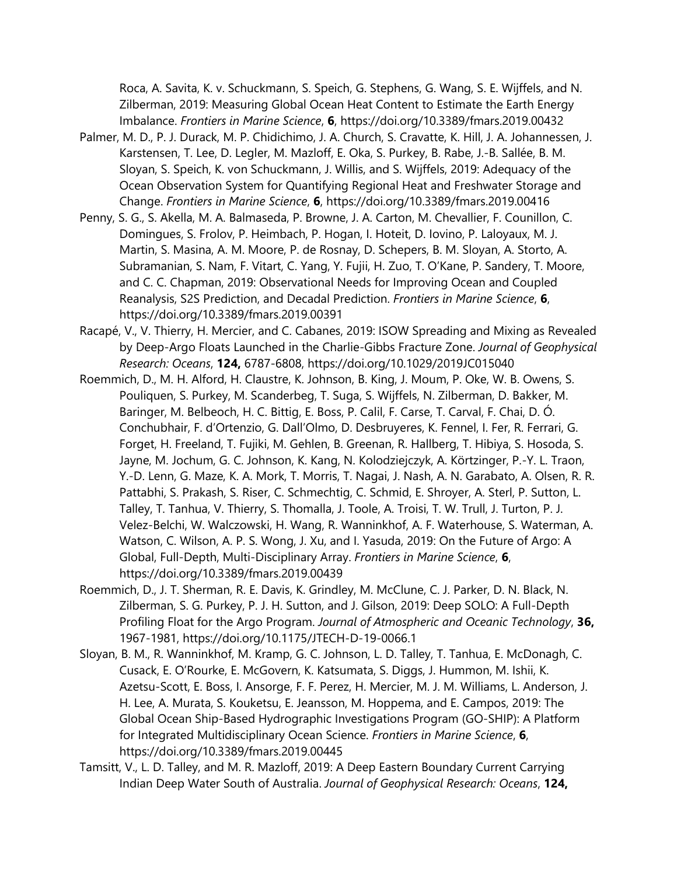Roca, A. Savita, K. v. Schuckmann, S. Speich, G. Stephens, G. Wang, S. E. Wijffels, and N. Zilberman, 2019: Measuring Global Ocean Heat Content to Estimate the Earth Energy Imbalance. *Frontiers in Marine Science*, **6**, https://doi.org/10.3389/fmars.2019.00432

- Palmer, M. D., P. J. Durack, M. P. Chidichimo, J. A. Church, S. Cravatte, K. Hill, J. A. Johannessen, J. Karstensen, T. Lee, D. Legler, M. Mazloff, E. Oka, S. Purkey, B. Rabe, J.-B. Sallée, B. M. Sloyan, S. Speich, K. von Schuckmann, J. Willis, and S. Wijffels, 2019: Adequacy of the Ocean Observation System for Quantifying Regional Heat and Freshwater Storage and Change. *Frontiers in Marine Science*, **6**, https://doi.org/10.3389/fmars.2019.00416
- Penny, S. G., S. Akella, M. A. Balmaseda, P. Browne, J. A. Carton, M. Chevallier, F. Counillon, C. Domingues, S. Frolov, P. Heimbach, P. Hogan, I. Hoteit, D. Iovino, P. Laloyaux, M. J. Martin, S. Masina, A. M. Moore, P. de Rosnay, D. Schepers, B. M. Sloyan, A. Storto, A. Subramanian, S. Nam, F. Vitart, C. Yang, Y. Fujii, H. Zuo, T. O'Kane, P. Sandery, T. Moore, and C. C. Chapman, 2019: Observational Needs for Improving Ocean and Coupled Reanalysis, S2S Prediction, and Decadal Prediction. *Frontiers in Marine Science*, **6**, https://doi.org/10.3389/fmars.2019.00391
- Racapé, V., V. Thierry, H. Mercier, and C. Cabanes, 2019: ISOW Spreading and Mixing as Revealed by Deep-Argo Floats Launched in the Charlie-Gibbs Fracture Zone. *Journal of Geophysical Research: Oceans*, **124,** 6787-6808, https://doi.org/10.1029/2019JC015040
- Roemmich, D., M. H. Alford, H. Claustre, K. Johnson, B. King, J. Moum, P. Oke, W. B. Owens, S. Pouliquen, S. Purkey, M. Scanderbeg, T. Suga, S. Wijffels, N. Zilberman, D. Bakker, M. Baringer, M. Belbeoch, H. C. Bittig, E. Boss, P. Calil, F. Carse, T. Carval, F. Chai, D. Ó. Conchubhair, F. d'Ortenzio, G. Dall'Olmo, D. Desbruyeres, K. Fennel, I. Fer, R. Ferrari, G. Forget, H. Freeland, T. Fujiki, M. Gehlen, B. Greenan, R. Hallberg, T. Hibiya, S. Hosoda, S. Jayne, M. Jochum, G. C. Johnson, K. Kang, N. Kolodziejczyk, A. Körtzinger, P.-Y. L. Traon, Y.-D. Lenn, G. Maze, K. A. Mork, T. Morris, T. Nagai, J. Nash, A. N. Garabato, A. Olsen, R. R. Pattabhi, S. Prakash, S. Riser, C. Schmechtig, C. Schmid, E. Shroyer, A. Sterl, P. Sutton, L. Talley, T. Tanhua, V. Thierry, S. Thomalla, J. Toole, A. Troisi, T. W. Trull, J. Turton, P. J. Velez-Belchi, W. Walczowski, H. Wang, R. Wanninkhof, A. F. Waterhouse, S. Waterman, A. Watson, C. Wilson, A. P. S. Wong, J. Xu, and I. Yasuda, 2019: On the Future of Argo: A Global, Full-Depth, Multi-Disciplinary Array. *Frontiers in Marine Science*, **6**, https://doi.org/10.3389/fmars.2019.00439
- Roemmich, D., J. T. Sherman, R. E. Davis, K. Grindley, M. McClune, C. J. Parker, D. N. Black, N. Zilberman, S. G. Purkey, P. J. H. Sutton, and J. Gilson, 2019: Deep SOLO: A Full-Depth Profiling Float for the Argo Program. *Journal of Atmospheric and Oceanic Technology*, **36,** 1967-1981, https://doi.org/10.1175/JTECH-D-19-0066.1
- Sloyan, B. M., R. Wanninkhof, M. Kramp, G. C. Johnson, L. D. Talley, T. Tanhua, E. McDonagh, C. Cusack, E. O'Rourke, E. McGovern, K. Katsumata, S. Diggs, J. Hummon, M. Ishii, K. Azetsu-Scott, E. Boss, I. Ansorge, F. F. Perez, H. Mercier, M. J. M. Williams, L. Anderson, J. H. Lee, A. Murata, S. Kouketsu, E. Jeansson, M. Hoppema, and E. Campos, 2019: The Global Ocean Ship-Based Hydrographic Investigations Program (GO-SHIP): A Platform for Integrated Multidisciplinary Ocean Science. *Frontiers in Marine Science*, **6**, https://doi.org/10.3389/fmars.2019.00445
- Tamsitt, V., L. D. Talley, and M. R. Mazloff, 2019: A Deep Eastern Boundary Current Carrying Indian Deep Water South of Australia. *Journal of Geophysical Research: Oceans*, **124,**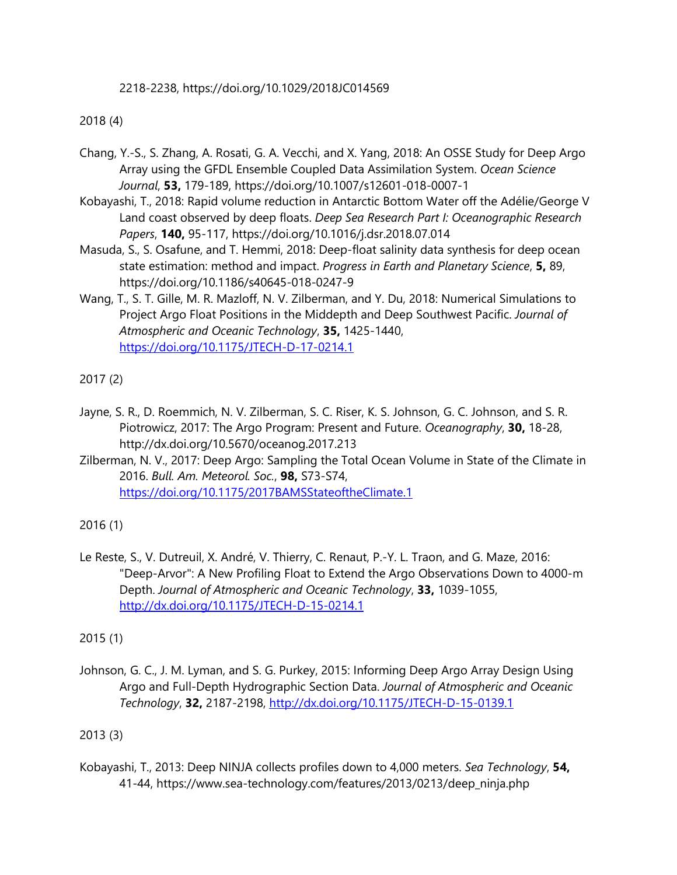2218-2238, https://doi.org/10.1029/2018JC014569

## 2018 (4)

- Chang, Y.-S., S. Zhang, A. Rosati, G. A. Vecchi, and X. Yang, 2018: An OSSE Study for Deep Argo Array using the GFDL Ensemble Coupled Data Assimilation System. *Ocean Science Journal*, **53,** 179-189, https://doi.org/10.1007/s12601-018-0007-1
- Kobayashi, T., 2018: Rapid volume reduction in Antarctic Bottom Water off the Adélie/George V Land coast observed by deep floats. *Deep Sea Research Part I: Oceanographic Research Papers*, **140,** 95-117, https://doi.org/10.1016/j.dsr.2018.07.014
- Masuda, S., S. Osafune, and T. Hemmi, 2018: Deep-float salinity data synthesis for deep ocean state estimation: method and impact. *Progress in Earth and Planetary Science*, **5,** 89, https://doi.org/10.1186/s40645-018-0247-9
- Wang, T., S. T. Gille, M. R. Mazloff, N. V. Zilberman, and Y. Du, 2018: Numerical Simulations to Project Argo Float Positions in the Middepth and Deep Southwest Pacific. *Journal of Atmospheric and Oceanic Technology*, **35,** 1425-1440, <https://doi.org/10.1175/JTECH-D-17-0214.1>

2017 (2)

- Jayne, S. R., D. Roemmich, N. V. Zilberman, S. C. Riser, K. S. Johnson, G. C. Johnson, and S. R. Piotrowicz, 2017: The Argo Program: Present and Future. *Oceanography*, **30,** 18-28, http://dx.doi.org/10.5670/oceanog.2017.213
- Zilberman, N. V., 2017: Deep Argo: Sampling the Total Ocean Volume in State of the Climate in 2016. *Bull. Am. Meteorol. Soc.*, **98,** S73-S74, <https://doi.org/10.1175/2017BAMSStateoftheClimate.1>

2016 (1)

Le Reste, S., V. Dutreuil, X. André, V. Thierry, C. Renaut, P.-Y. L. Traon, and G. Maze, 2016: "Deep-Arvor": A New Profiling Float to Extend the Argo Observations Down to 4000-m Depth. *Journal of Atmospheric and Oceanic Technology*, **33,** 1039-1055, <http://dx.doi.org/10.1175/JTECH-D-15-0214.1>

2015 (1)

Johnson, G. C., J. M. Lyman, and S. G. Purkey, 2015: Informing Deep Argo Array Design Using Argo and Full-Depth Hydrographic Section Data. *Journal of Atmospheric and Oceanic Technology*, **32,** 2187-2198,<http://dx.doi.org/10.1175/JTECH-D-15-0139.1>

2013 (3)

Kobayashi, T., 2013: Deep NINJA collects profiles down to 4,000 meters. *Sea Technology*, **54,** 41-44, https://www.sea-technology.com/features/2013/0213/deep\_ninja.php